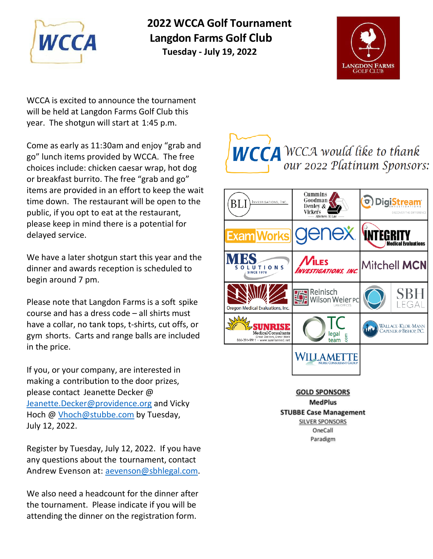

**2022 WCCA Golf Tournament Langdon Farms Golf Club MCCA** Langdon Farms Golf Cl<br>Tuesday - July 19, 2022



WCCA is excited to announce the tournament will be held at Langdon Farms Golf Club this year. The shotgun will start at 1:45 p.m.

Come as early as 11:30am and enjoy "grab and go" lunch items provided by WCCA. The free choices include: chicken caesar wrap, hot dog or breakfast burrito. The free "grab and go" items are provided in an effort to keep the wait time down. The restaurant will be open to the public, if you opt to eat at the restaurant, please keep in mind there is a potential for delayed service.

We have a later shotgun start this year and the dinner and awards reception is scheduled to begin around 7 pm.

Please note that Langdon Farms is a soft spike course and has a dress code – all shirts must have a collar, no tank tops, t-shirts, cut offs, or gym shorts. Carts and range balls are included in the price.

If you, or your company, are interested in making a contribution to the door prizes, please contact Jeanette Decker @ [Jeanette.Decker@providence.org](mailto:Jeanette.Decker@providence.org) and Vicky Hoch @ [Vhoch@stubbe.com](mailto:Vhoch@stubbe.com) by Tuesday, July 12, 2022.

Register by Tuesday, July 12, 2022. If you have any questions about the tournament, contact Andrew Evenson at: [aevenson@sbhlegal.com.](mailto:aevenson@sbhlegal.com)

We also need a headcount for the dinner after the tournament. Please indicate if you will be attending the dinner on the registration form.





**GOLD SPONSORS MedPlus STUBBE Case Management SILVER SPONSORS** OneCall Paradigm